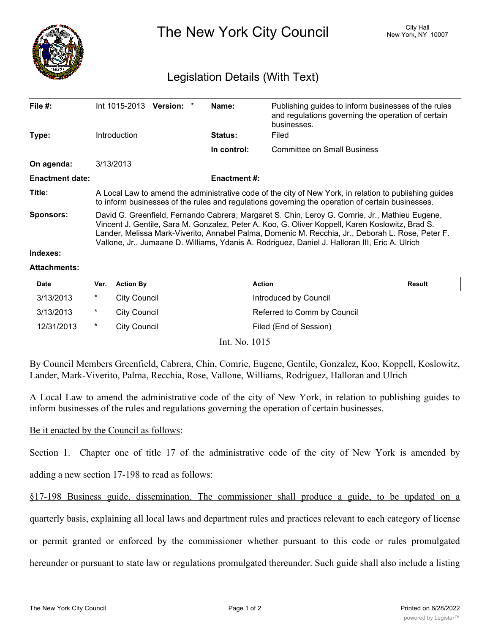

The New York City Council New York, NY 10007

## Legislation Details (With Text)

| File $#$ :             | Int 1015-2013                                                                                                                                                                                                                                                                                                                                                                                           | Version: * |  | Name:          | Publishing guides to inform businesses of the rules<br>and regulations governing the operation of certain<br>businesses. |  |  |
|------------------------|---------------------------------------------------------------------------------------------------------------------------------------------------------------------------------------------------------------------------------------------------------------------------------------------------------------------------------------------------------------------------------------------------------|------------|--|----------------|--------------------------------------------------------------------------------------------------------------------------|--|--|
| Type:                  | Introduction                                                                                                                                                                                                                                                                                                                                                                                            |            |  | <b>Status:</b> | Filed                                                                                                                    |  |  |
|                        |                                                                                                                                                                                                                                                                                                                                                                                                         |            |  | In control:    | Committee on Small Business                                                                                              |  |  |
| On agenda:             | 3/13/2013                                                                                                                                                                                                                                                                                                                                                                                               |            |  |                |                                                                                                                          |  |  |
| <b>Enactment date:</b> | <b>Enactment #:</b>                                                                                                                                                                                                                                                                                                                                                                                     |            |  |                |                                                                                                                          |  |  |
| Title:                 | A Local Law to amend the administrative code of the city of New York, in relation to publishing guides<br>to inform businesses of the rules and regulations governing the operation of certain businesses.                                                                                                                                                                                              |            |  |                |                                                                                                                          |  |  |
| <b>Sponsors:</b>       | David G. Greenfield, Fernando Cabrera, Margaret S. Chin, Leroy G. Comrie, Jr., Mathieu Eugene,<br>Vincent J. Gentile, Sara M. Gonzalez, Peter A. Koo, G. Oliver Koppell, Karen Koslowitz, Brad S.<br>Lander, Melissa Mark-Viverito, Annabel Palma, Domenic M. Recchia, Jr., Deborah L. Rose, Peter F.<br>Vallone, Jr., Jumaane D. Williams, Ydanis A. Rodriguez, Daniel J. Halloran III, Eric A. Ulrich |            |  |                |                                                                                                                          |  |  |
| Indexes:               |                                                                                                                                                                                                                                                                                                                                                                                                         |            |  |                |                                                                                                                          |  |  |

## **Attachments:**

| <b>Date</b> | Ver.   | <b>Action By</b>    | <b>Action</b>               | <b>Result</b> |
|-------------|--------|---------------------|-----------------------------|---------------|
| 3/13/2013   | *      | <b>City Council</b> | Introduced by Council       |               |
| 3/13/2013   | $\ast$ | City Council        | Referred to Comm by Council |               |
| 12/31/2013  | *      | <b>City Council</b> | Filed (End of Session)      |               |

Int. No. 1015

By Council Members Greenfield, Cabrera, Chin, Comrie, Eugene, Gentile, Gonzalez, Koo, Koppell, Koslowitz, Lander, Mark-Viverito, Palma, Recchia, Rose, Vallone, Williams, Rodriguez, Halloran and Ulrich

A Local Law to amend the administrative code of the city of New York, in relation to publishing guides to inform businesses of the rules and regulations governing the operation of certain businesses.

Be it enacted by the Council as follows:

Section 1. Chapter one of title 17 of the administrative code of the city of New York is amended by

adding a new section 17-198 to read as follows:

§17-198 Business guide, dissemination. The commissioner shall produce a guide, to be updated on a

quarterly basis, explaining all local laws and department rules and practices relevant to each category of license

or permit granted or enforced by the commissioner whether pursuant to this code or rules promulgated

hereunder or pursuant to state law or regulations promulgated thereunder. Such guide shall also include a listing